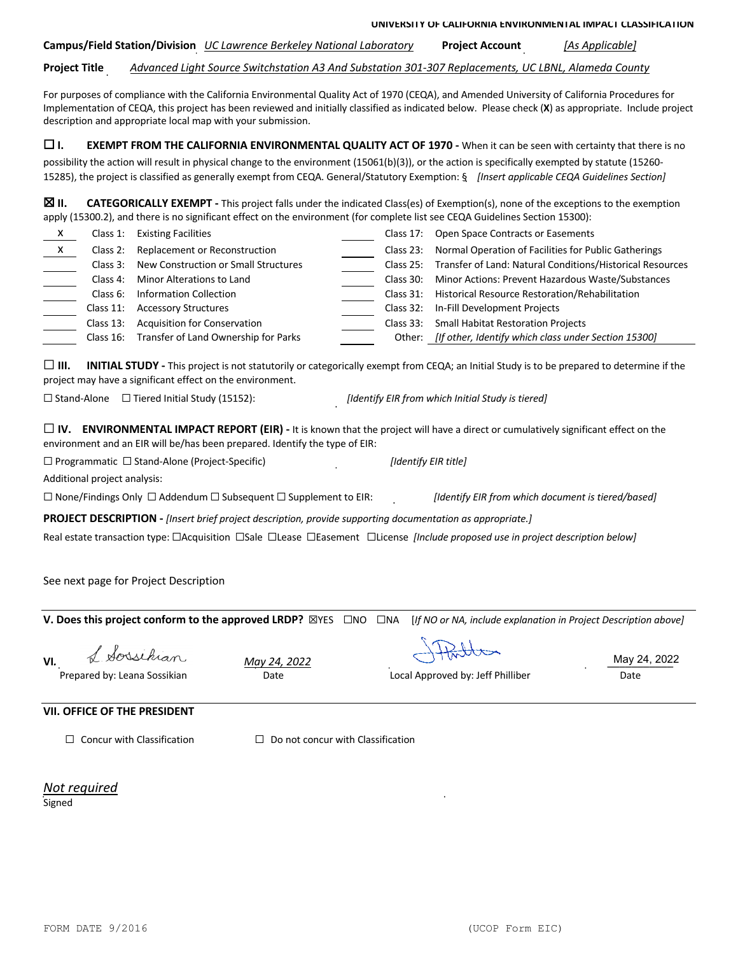**UNIVERSITY OF CALIFORNIA ENVIRONMENTAL IMPACT CLASSIFICATION**

# **Campus/Field Station/Division** *UC Lawrence Berkeley National Laboratory* **Project Account** *[As Applicable]*

**Project Title** *Advanced Light Source Switchstation A3 And Substation 301-307 Replacements, UC LBNL, Alameda County*

For purposes of compliance with the California Environmental Quality Act of 1970 (CEQA), and Amended University of California Procedures for Implementation of CEQA, this project has been reviewed and initially classified as indicated below. Please check (**X**) as appropriate. Include project description and appropriate local map with your submission.

☐ **I. EXEMPT FROM THE CALIFORNIA ENVIRONMENTAL QUALITY ACT OF 1970 -** When it can be seen with certainty that there is no possibility the action will result in physical change to the environment (15061(b)(3)), or the action is specifically exempted by statute (15260- 15285), the project is classified as generally exempt from CEQA. General/Statutory Exemption: § *[Insert applicable CEQA Guidelines Section]*

☒ **II. CATEGORICALLY EXEMPT -** This project falls under the indicated Class(es) of Exemption(s), none of the exceptions to the exemption apply (15300.2), and there is no significant effect on the environment (for complete list see CEQA Guidelines Section 15300):

| X | Class 1:     | <b>Existing Facilities</b>           | Class 17: | Open Space Contracts or Easements                                   |
|---|--------------|--------------------------------------|-----------|---------------------------------------------------------------------|
| X | Class 2:     | Replacement or Reconstruction        |           | Class 23: Normal Operation of Facilities for Public Gatherings      |
|   | Class 3:     | New Construction or Small Structures |           | Class 25: Transfer of Land: Natural Conditions/Historical Resources |
|   | Class 4:     | Minor Alterations to Land            | Class 30: | Minor Actions: Prevent Hazardous Waste/Substances                   |
|   | Class 6:     | Information Collection               |           | Class 31: Historical Resource Restoration/Rehabilitation            |
|   | Class $11$ : | <b>Accessory Structures</b>          |           | Class 32: In-Fill Development Projects                              |
|   | Class $13$ : | <b>Acquisition for Conservation</b>  |           | Class 33: Small Habitat Restoration Projects                        |
|   | Class $16$ : | Transfer of Land Ownership for Parks |           | Other: [If other, Identify which class under Section 15300]         |

□ **III.** INITIAL STUDY - This project is not statutorily or categorically exempt from CEQA; an Initial Study is to be prepared to determine if the project may have a significant effect on the environment.

☐ Stand-Alone ☐ Tiered Initial Study (15152): *[Identify EIR from which Initial Study is tiered]*

☐ **IV. ENVIRONMENTAL IMPACT REPORT (EIR) -** It is known that the project will have a direct or cumulatively significant effect on the environment and an EIR will be/has been prepared. Identify the type of EIR:

| $\Box$ Programmatic $\Box$ Stand-Alone (Project-Specific)                             | <b>Ildentify EIR title1</b>                        |
|---------------------------------------------------------------------------------------|----------------------------------------------------|
| Additional project analysis:                                                          |                                                    |
| $\Box$ None/Findings Only $\Box$ Addendum $\Box$ Subsequent $\Box$ Supplement to EIR: | [Identify EIR from which document is tiered/based] |

**PROJECT DESCRIPTION -** *[Insert brief project description, provide supporting documentation as appropriate.]*

Real estate transaction type: ☐Acquisition ☐Sale ☐Lease ☐Easement ☐License *[Include proposed use in project description below]*

See next page for Project Description

**V. Does this project conform to the approved LRDP?** ⊠YES □NO □NA [*If NO or NA, include explanation in Project Description above]* 

**VI***. May 24, 2022* \_\_\_\_\_\_\_\_\_\_\_ Prepared by: Leana Sossikian Date Local Approved by: Jeff Philliber Date May 24, 2022

#### **VII. OFFICE OF THE PRESIDENT**

 $□$  Concur with Classification  $□$  Do not concur with Classification

*Not required* 

Signed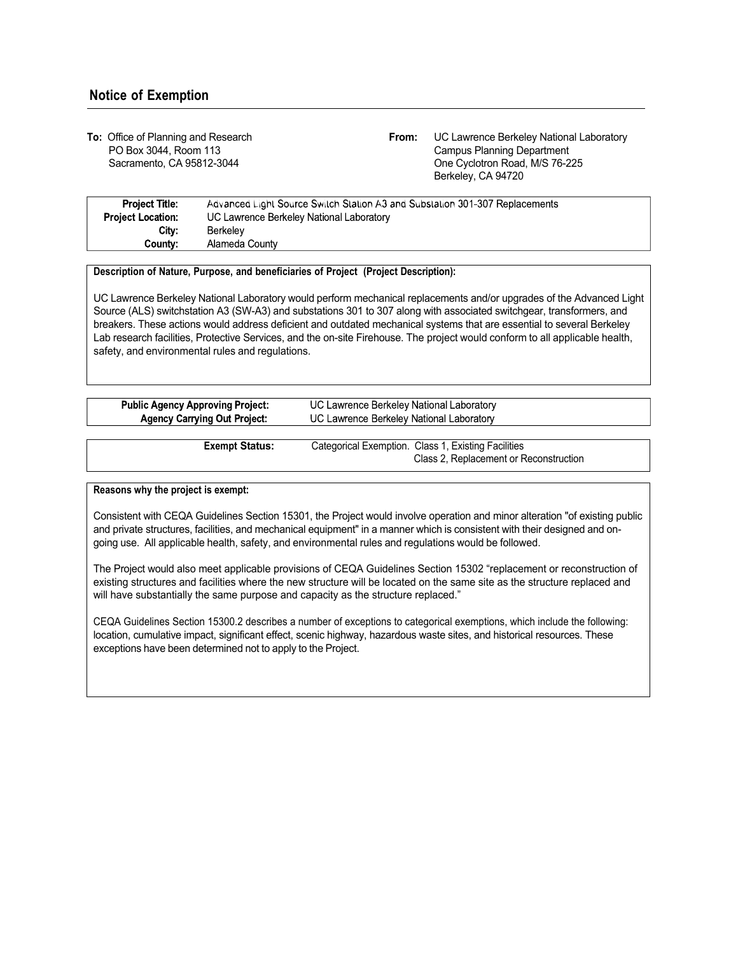## **Notice of Exemption**

**To:** Office of Planning and Research PO Box 3044, Room 113 Sacramento, CA 95812-3044

**From:** UC Lawrence Berkeley National Laboratory Campus Planning Department One Cyclotron Road, M/S 76-225 Berkeley, CA 94720

Class 2, Replacement or Reconstruction

| <b>Project Title:</b>    | Advanced Light Source Switch Station A3 and Substation 301-307 Replacements |  |
|--------------------------|-----------------------------------------------------------------------------|--|
| <b>Project Location:</b> | UC Lawrence Berkeley National Laboratory                                    |  |
| City:                    | Berkelev                                                                    |  |
| County:                  | Alameda County                                                              |  |

#### **Description of Nature, Purpose, and beneficiaries of Project (Project Description):**

UC Lawrence Berkeley National Laboratory would perform mechanical replacements and/or upgrades of the Advanced Light Source (ALS) switchstation A3 (SW-A3) and substations 301 to 307 along with associated switchgear, transformers, and breakers. These actions would address deficient and outdated mechanical systems that are essential to several Berkeley Lab research facilities, Protective Services, and the on-site Firehouse. The project would conform to all applicable health, safety, and environmental rules and regulations.

| <b>Public Agency Approving Project:</b> | UC Lawrence Berkeley National Laboratory            |  |
|-----------------------------------------|-----------------------------------------------------|--|
| <b>Agency Carrying Out Project:</b>     | UC Lawrence Berkeley National Laboratory            |  |
|                                         |                                                     |  |
| <b>Exempt Status:</b>                   | Categorical Exemption. Class 1, Existing Facilities |  |

**Reasons why the project is exempt:**

Consistent with CEQA Guidelines Section 15301, the Project would involve operation and minor alteration "of existing public and private structures, facilities, and mechanical equipment" in a manner which is consistent with their designed and ongoing use. All applicable health, safety, and environmental rules and regulations would be followed.

The Project would also meet applicable provisions of CEQA Guidelines Section 15302 "replacement or reconstruction of existing structures and facilities where the new structure will be located on the same site as the structure replaced and will have substantially the same purpose and capacity as the structure replaced."

CEQA Guidelines Section 15300.2 describes a number of exceptions to categorical exemptions, which include the following: location, cumulative impact, significant effect, scenic highway, hazardous waste sites, and historical resources. These exceptions have been determined not to apply to the Project.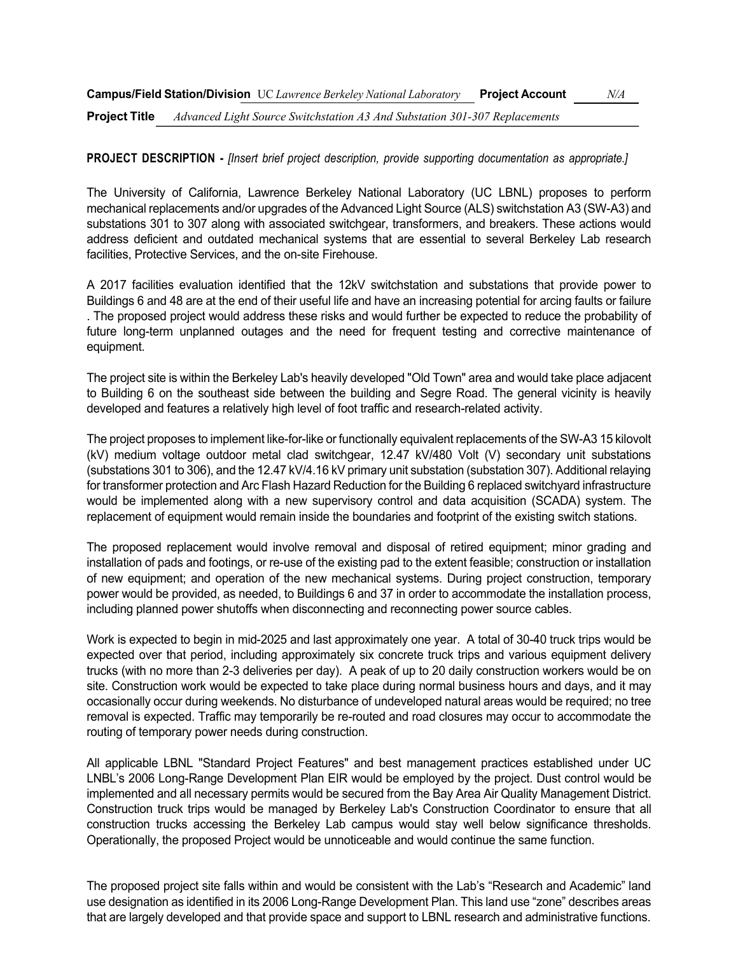|                      | <b>Campus/Field Station/Division</b> UC Lawrence Berkeley National Laboratory | <b>Project Account</b> | N/A |
|----------------------|-------------------------------------------------------------------------------|------------------------|-----|
| <b>Project Title</b> | Advanced Light Source Switchstation A3 And Substation 301-307 Replacements    |                        |     |

### **PROJECT DESCRIPTION -** *[Insert brief project description, provide supporting documentation as appropriate.]*

The University of California, Lawrence Berkeley National Laboratory (UC LBNL) proposes to perform mechanical replacements and/or upgrades of the Advanced Light Source (ALS) switchstation A3 (SW-A3) and substations 301 to 307 along with associated switchgear, transformers, and breakers. These actions would address deficient and outdated mechanical systems that are essential to several Berkeley Lab research facilities, Protective Services, and the on-site Firehouse.

A 2017 facilities evaluation identified that the 12kV switchstation and substations that provide power to Buildings 6 and 48 are at the end of their useful life and have an increasing potential for arcing faults or failure . The proposed project would address these risks and would further be expected to reduce the probability of future long-term unplanned outages and the need for frequent testing and corrective maintenance of equipment.

The project site is within the Berkeley Lab's heavily developed "Old Town" area and would take place adjacent to Building 6 on the southeast side between the building and Segre Road. The general vicinity is heavily developed and features a relatively high level of foot traffic and research-related activity.

The project proposes to implement like-for-like or functionally equivalent replacements of the SW-A3 15 kilovolt (kV) medium voltage outdoor metal clad switchgear, 12.47 kV/480 Volt (V) secondary unit substations (substations 301 to 306), and the 12.47 kV/4.16 kV primary unit substation (substation 307). Additional relaying for transformer protection and Arc Flash Hazard Reduction for the Building 6 replaced switchyard infrastructure would be implemented along with a new supervisory control and data acquisition (SCADA) system. The replacement of equipment would remain inside the boundaries and footprint of the existing switch stations.

The proposed replacement would involve removal and disposal of retired equipment; minor grading and installation of pads and footings, or re-use of the existing pad to the extent feasible; construction or installation of new equipment; and operation of the new mechanical systems. During project construction, temporary power would be provided, as needed, to Buildings 6 and 37 in order to accommodate the installation process, including planned power shutoffs when disconnecting and reconnecting power source cables.

Work is expected to begin in mid-2025 and last approximately one year. A total of 30-40 truck trips would be expected over that period, including approximately six concrete truck trips and various equipment delivery trucks (with no more than 2-3 deliveries per day). A peak of up to 20 daily construction workers would be on site. Construction work would be expected to take place during normal business hours and days, and it may occasionally occur during weekends. No disturbance of undeveloped natural areas would be required; no tree removal is expected. Traffic may temporarily be re-routed and road closures may occur to accommodate the routing of temporary power needs during construction.

All applicable LBNL "Standard Project Features" and best management practices established under UC LNBL's 2006 Long-Range Development Plan EIR would be employed by the project. Dust control would be implemented and all necessary permits would be secured from the Bay Area Air Quality Management District. Construction truck trips would be managed by Berkeley Lab's Construction Coordinator to ensure that all construction trucks accessing the Berkeley Lab campus would stay well below significance thresholds. Operationally, the proposed Project would be unnoticeable and would continue the same function.

The proposed project site falls within and would be consistent with the Lab's "Research and Academic" land use designation as identified in its 2006 Long-Range Development Plan. This land use "zone" describes areas that are largely developed and that provide space and support to LBNL research and administrative functions.